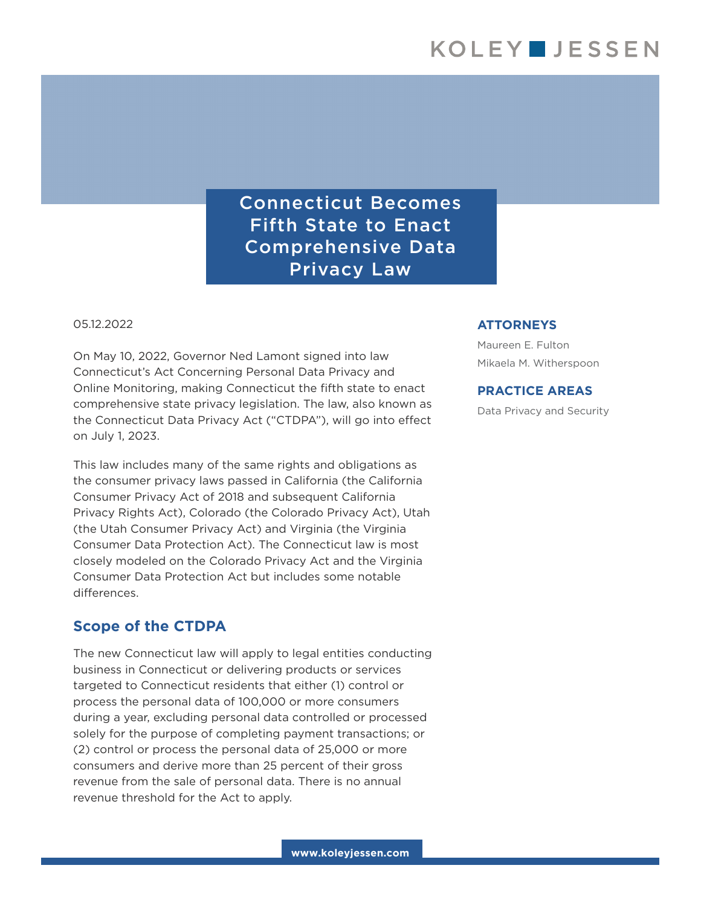Connecticut Becomes Fifth State to Enact Comprehensive Data Privacy Law

05.12.2022

On May 10, 2022, Governor Ned Lamont signed into law Connecticut's Act Concerning Personal Data Privacy and Online Monitoring, making Connecticut the fifth state to enact comprehensive state privacy legislation. The law, also known as the Connecticut Data Privacy Act ("CTDPA"), will go into effect on July 1, 2023.

This law includes many of the same rights and obligations as the consumer privacy laws passed in California (the California Consumer Privacy Act of 2018 and subsequent California Privacy Rights Act), Colorado (the Colorado Privacy Act), Utah (the Utah Consumer Privacy Act) and Virginia (the Virginia Consumer Data Protection Act). The Connecticut law is most closely modeled on the Colorado Privacy Act and the Virginia Consumer Data Protection Act but includes some notable differences.

#### **Scope of the CTDPA**

The new Connecticut law will apply to legal entities conducting business in Connecticut or delivering products or services targeted to Connecticut residents that either (1) control or process the personal data of 100,000 or more consumers during a year, excluding personal data controlled or processed solely for the purpose of completing payment transactions; or (2) control or process the personal data of 25,000 or more consumers and derive more than 25 percent of their gross revenue from the sale of personal data. There is no annual revenue threshold for the Act to apply.

#### **ATTORNEYS**

Maureen E. Fulton Mikaela M. Witherspoon

#### **PRACTICE AREAS**

Data Privacy and Security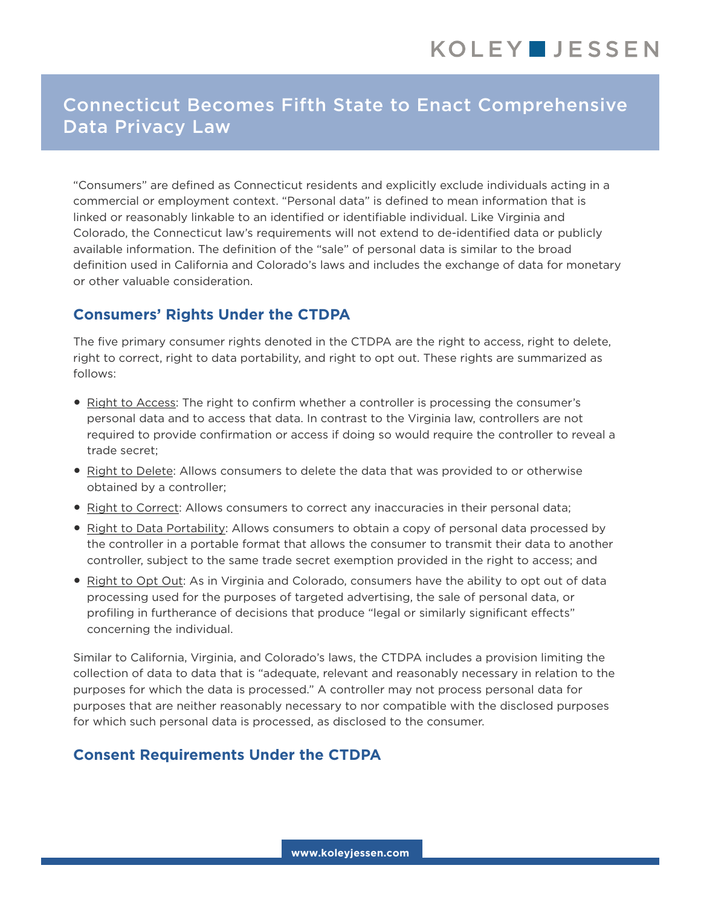# Connecticut Becomes Fifth State to Enact Comprehensive Data Privacy Law

"Consumers" are defined as Connecticut residents and explicitly exclude individuals acting in a commercial or employment context. "Personal data" is defined to mean information that is linked or reasonably linkable to an identified or identifiable individual. Like Virginia and Colorado, the Connecticut law's requirements will not extend to de-identified data or publicly available information. The definition of the "sale" of personal data is similar to the broad definition used in California and Colorado's laws and includes the exchange of data for monetary or other valuable consideration.

## **Consumers' Rights Under the CTDPA**

The five primary consumer rights denoted in the CTDPA are the right to access, right to delete, right to correct, right to data portability, and right to opt out. These rights are summarized as follows:

- Right to Access: The right to confirm whether a controller is processing the consumer's personal data and to access that data. In contrast to the Virginia law, controllers are not required to provide confirmation or access if doing so would require the controller to reveal a trade secret;
- Right to Delete: Allows consumers to delete the data that was provided to or otherwise obtained by a controller;
- Right to Correct: Allows consumers to correct any inaccuracies in their personal data;
- Right to Data Portability: Allows consumers to obtain a copy of personal data processed by the controller in a portable format that allows the consumer to transmit their data to another controller, subject to the same trade secret exemption provided in the right to access; and
- Right to Opt Out: As in Virginia and Colorado, consumers have the ability to opt out of data processing used for the purposes of targeted advertising, the sale of personal data, or profiling in furtherance of decisions that produce "legal or similarly significant effects" concerning the individual.

Similar to California, Virginia, and Colorado's laws, the CTDPA includes a provision limiting the collection of data to data that is "adequate, relevant and reasonably necessary in relation to the purposes for which the data is processed." A controller may not process personal data for purposes that are neither reasonably necessary to nor compatible with the disclosed purposes for which such personal data is processed, as disclosed to the consumer.

# **Consent Requirements Under the CTDPA**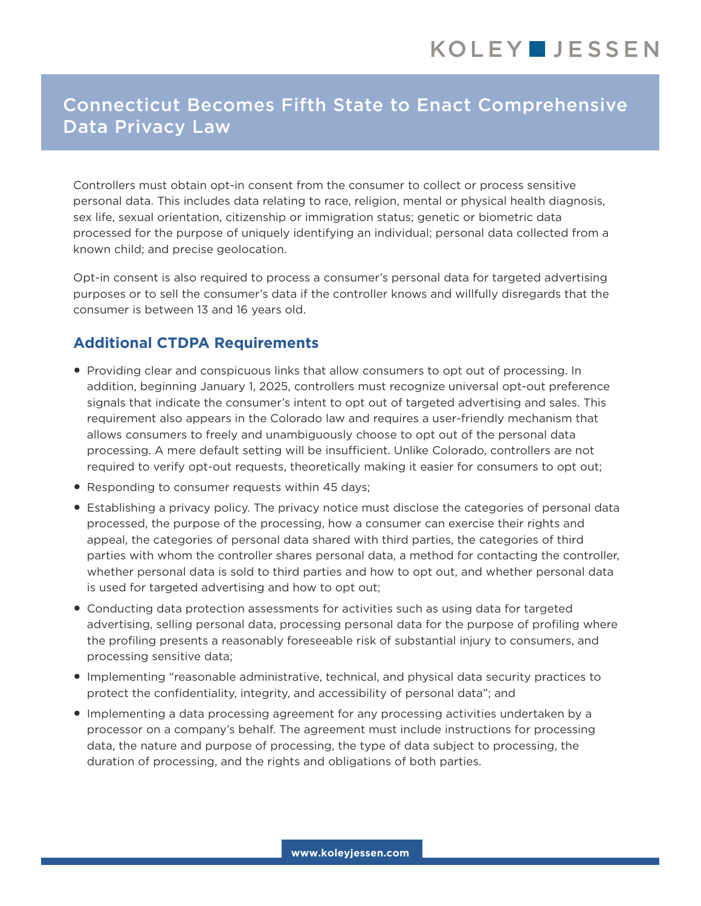# Connecticut Becomes Fifth State to Enact Comprehensive Data Privacy Law

Controllers must obtain opt-in consent from the consumer to collect or process sensitive personal data. This includes data relating to race, religion, mental or physical health diagnosis, sex life, sexual orientation, citizenship or immigration status; genetic or biometric data processed for the purpose of uniquely identifying an individual; personal data collected from a known child; and precise geolocation.

Opt-in consent is also required to process a consumer's personal data for targeted advertising purposes or to sell the consumer's data if the controller knows and willfully disregards that the consumer is between 13 and 16 years old.

## **Additional CTDPA Requirements**

- Providing clear and conspicuous links that allow consumers to opt out of processing. In addition, beginning January 1, 2025, controllers must recognize universal opt-out preference signals that indicate the consumer's intent to opt out of targeted advertising and sales. This requirement also appears in the Colorado law and requires a user-friendly mechanism that allows consumers to freely and unambiguously choose to opt out of the personal data processing. A mere default setting will be insufficient. Unlike Colorado, controllers are not required to verify opt-out requests, theoretically making it easier for consumers to opt out;
- Responding to consumer requests within 45 days;
- Establishing a privacy policy. The privacy notice must disclose the categories of personal data processed, the purpose of the processing, how a consumer can exercise their rights and appeal, the categories of personal data shared with third parties, the categories of third parties with whom the controller shares personal data, a method for contacting the controller, whether personal data is sold to third parties and how to opt out, and whether personal data is used for targeted advertising and how to opt out;
- Conducting data protection assessments for activities such as using data for targeted advertising, selling personal data, processing personal data for the purpose of profiling where the profiling presents a reasonably foreseeable risk of substantial injury to consumers, and processing sensitive data;
- Implementing "reasonable administrative, technical, and physical data security practices to protect the confidentiality, integrity, and accessibility of personal data"; and
- Implementing a data processing agreement for any processing activities undertaken by a processor on a company's behalf. The agreement must include instructions for processing data, the nature and purpose of processing, the type of data subject to processing, the duration of processing, and the rights and obligations of both parties.